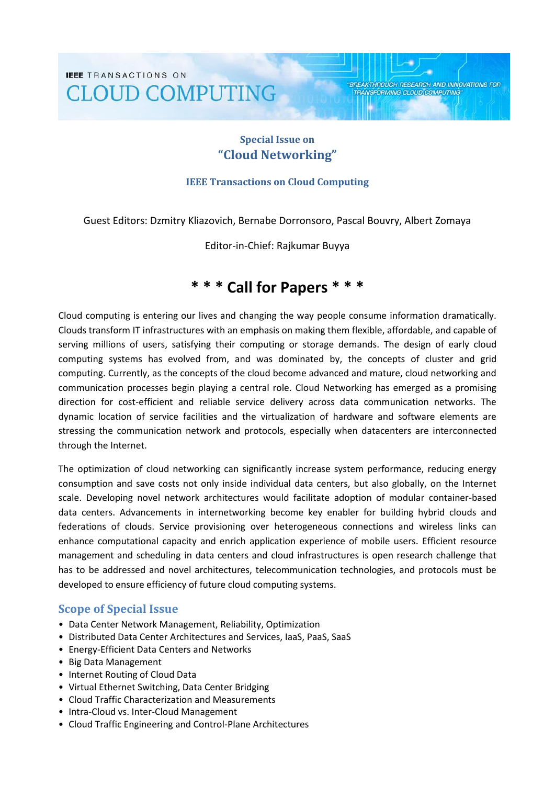**IEEE** TRANSACTIONS ON **CLOUD COMPUTING** 

# **Special Issue on "Cloud Networking"**

**BREAKTHROUGH RESEARCH AND INNOVATIONS FOR** 

**TRANSFORMING CLOUD COMPUTING** 

#### **IEEE Transactions on Cloud Computing**

Guest Editors: Dzmitry Kliazovich, Bernabe Dorronsoro, Pascal Bouvry, Albert Zomaya

Editor-in-Chief: Rajkumar Buyya

# **\* \* \* Call for Papers \* \* \***

Cloud computing is entering our lives and changing the way people consume information dramatically. Clouds transform IT infrastructures with an emphasis on making them flexible, affordable, and capable of serving millions of users, satisfying their computing or storage demands. The design of early cloud computing systems has evolved from, and was dominated by, the concepts of cluster and grid computing. Currently, as the concepts of the cloud become advanced and mature, cloud networking and communication processes begin playing a central role. Cloud Networking has emerged as a promising direction for cost-efficient and reliable service delivery across data communication networks. The dynamic location of service facilities and the virtualization of hardware and software elements are stressing the communication network and protocols, especially when datacenters are interconnected through the Internet.

The optimization of cloud networking can significantly increase system performance, reducing energy consumption and save costs not only inside individual data centers, but also globally, on the Internet scale. Developing novel network architectures would facilitate adoption of modular container-based data centers. Advancements in internetworking become key enabler for building hybrid clouds and federations of clouds. Service provisioning over heterogeneous connections and wireless links can enhance computational capacity and enrich application experience of mobile users. Efficient resource management and scheduling in data centers and cloud infrastructures is open research challenge that has to be addressed and novel architectures, telecommunication technologies, and protocols must be developed to ensure efficiency of future cloud computing systems.

## **Scope of Special Issue**

- Data Center Network Management, Reliability, Optimization
- Distributed Data Center Architectures and Services, IaaS, PaaS, SaaS
- Energy-Efficient Data Centers and Networks
- Big Data Management
- Internet Routing of Cloud Data
- Virtual Ethernet Switching, Data Center Bridging
- Cloud Traffic Characterization and Measurements
- Intra-Cloud vs. Inter-Cloud Management
- Cloud Traffic Engineering and Control-Plane Architectures